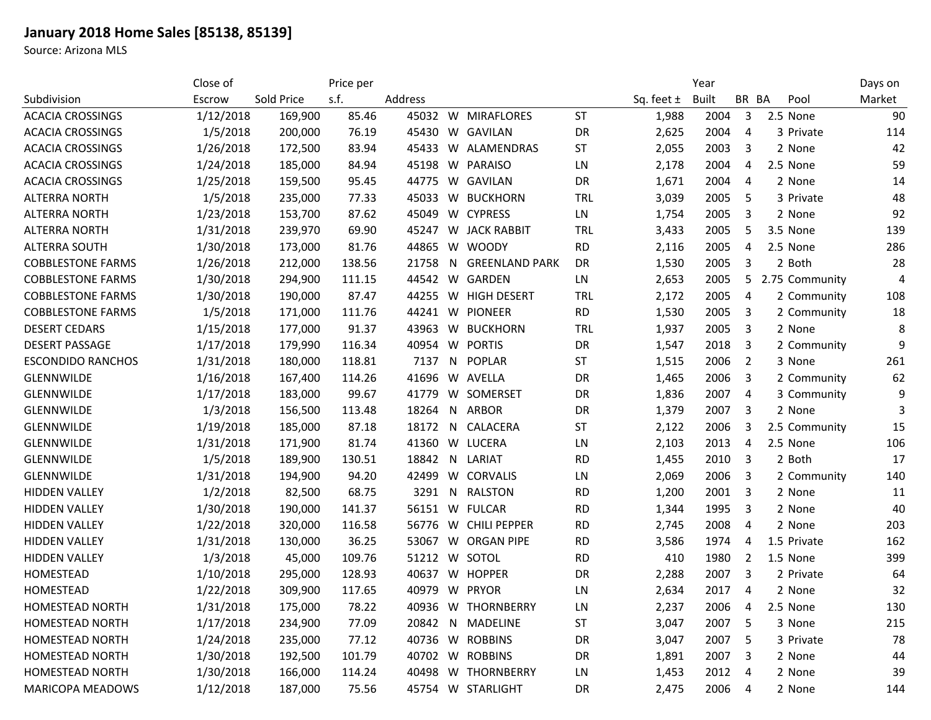## **January 2018 Home Sales [85138, 85139]**

Source: Arizona MLS

|                          | Close of  |            | Price per |         |    |                       |            |                | Year         |                |                | Days on |
|--------------------------|-----------|------------|-----------|---------|----|-----------------------|------------|----------------|--------------|----------------|----------------|---------|
| Subdivision              | Escrow    | Sold Price | s.f.      | Address |    |                       |            | Sq. feet $\pm$ | <b>Built</b> | BR BA          | Pool           | Market  |
| <b>ACACIA CROSSINGS</b>  | 1/12/2018 | 169,900    | 85.46     |         |    | 45032 W MIRAFLORES    | <b>ST</b>  | 1,988          | 2004         | 3              | 2.5 None       | 90      |
| <b>ACACIA CROSSINGS</b>  | 1/5/2018  | 200,000    | 76.19     | 45430   |    | W GAVILAN             | DR         | 2,625          | 2004         | 4              | 3 Private      | 114     |
| <b>ACACIA CROSSINGS</b>  | 1/26/2018 | 172,500    | 83.94     | 45433   |    | W ALAMENDRAS          | <b>ST</b>  | 2,055          | 2003         | 3              | 2 None         | 42      |
| <b>ACACIA CROSSINGS</b>  | 1/24/2018 | 185,000    | 84.94     | 45198   |    | W PARAISO             | LN         | 2,178          | 2004         | 4              | 2.5 None       | 59      |
| <b>ACACIA CROSSINGS</b>  | 1/25/2018 | 159,500    | 95.45     | 44775   |    | W GAVILAN             | DR         | 1,671          | 2004         | 4              | 2 None         | 14      |
| <b>ALTERRA NORTH</b>     | 1/5/2018  | 235,000    | 77.33     | 45033   |    | W BUCKHORN            | <b>TRL</b> | 3,039          | 2005         | 5              | 3 Private      | 48      |
| <b>ALTERRA NORTH</b>     | 1/23/2018 | 153,700    | 87.62     | 45049   |    | W CYPRESS             | LN         | 1,754          | 2005         | 3              | 2 None         | 92      |
| <b>ALTERRA NORTH</b>     | 1/31/2018 | 239,970    | 69.90     | 45247   |    | <b>W</b> JACK RABBIT  | <b>TRL</b> | 3,433          | 2005         | 5              | 3.5 None       | 139     |
| <b>ALTERRA SOUTH</b>     | 1/30/2018 | 173,000    | 81.76     | 44865   | W  | WOODY                 | <b>RD</b>  | 2,116          | 2005         | 4              | 2.5 None       | 286     |
| <b>COBBLESTONE FARMS</b> | 1/26/2018 | 212,000    | 138.56    | 21758   | N. | <b>GREENLAND PARK</b> | DR         | 1,530          | 2005         | 3              | 2 Both         | 28      |
| <b>COBBLESTONE FARMS</b> | 1/30/2018 | 294,900    | 111.15    | 44542   |    | W GARDEN              | LN         | 2,653          | 2005         | 5              | 2.75 Community | 4       |
| <b>COBBLESTONE FARMS</b> | 1/30/2018 | 190,000    | 87.47     | 44255   |    | W HIGH DESERT         | <b>TRL</b> | 2,172          | 2005         | 4              | 2 Community    | 108     |
| <b>COBBLESTONE FARMS</b> | 1/5/2018  | 171,000    | 111.76    | 44241   |    | W PIONEER             | <b>RD</b>  | 1,530          | 2005         | 3              | 2 Community    | 18      |
| <b>DESERT CEDARS</b>     | 1/15/2018 | 177,000    | 91.37     | 43963   | W  | <b>BUCKHORN</b>       | <b>TRL</b> | 1,937          | 2005         | 3              | 2 None         | 8       |
| <b>DESERT PASSAGE</b>    | 1/17/2018 | 179,990    | 116.34    | 40954   |    | W PORTIS              | DR         | 1,547          | 2018         | 3              | 2 Community    | 9       |
| <b>ESCONDIDO RANCHOS</b> | 1/31/2018 | 180,000    | 118.81    | 7137    |    | N POPLAR              | <b>ST</b>  | 1,515          | 2006         | 2              | 3 None         | 261     |
| GLENNWILDE               | 1/16/2018 | 167,400    | 114.26    | 41696   |    | W AVELLA              | DR         | 1,465          | 2006         | 3              | 2 Community    | 62      |
| <b>GLENNWILDE</b>        | 1/17/2018 | 183,000    | 99.67     | 41779   |    | W SOMERSET            | DR         | 1,836          | 2007         | 4              | 3 Community    | 9       |
| <b>GLENNWILDE</b>        | 1/3/2018  | 156,500    | 113.48    | 18264   |    | N ARBOR               | DR         | 1,379          | 2007         | 3              | 2 None         |         |
| <b>GLENNWILDE</b>        | 1/19/2018 | 185,000    | 87.18     | 18172   |    | N CALACERA            | <b>ST</b>  | 2,122          | 2006         | 3              | 2.5 Community  | 15      |
| <b>GLENNWILDE</b>        | 1/31/2018 | 171,900    | 81.74     | 41360   |    | W LUCERA              | LN         | 2,103          | 2013         | 4              | 2.5 None       | 106     |
| <b>GLENNWILDE</b>        | 1/5/2018  | 189,900    | 130.51    | 18842   |    | N LARIAT              | <b>RD</b>  | 1,455          | 2010         | 3              | 2 Both         | 17      |
| <b>GLENNWILDE</b>        | 1/31/2018 | 194,900    | 94.20     | 42499   |    | W CORVALIS            | LN         | 2,069          | 2006         | 3              | 2 Community    | 140     |
| <b>HIDDEN VALLEY</b>     | 1/2/2018  | 82,500     | 68.75     | 3291    | N. | RALSTON               | <b>RD</b>  | 1,200          | 2001         | 3              | 2 None         | 11      |
| <b>HIDDEN VALLEY</b>     | 1/30/2018 | 190,000    | 141.37    | 56151   |    | W FULCAR              | <b>RD</b>  | 1,344          | 1995         | 3              | 2 None         | 40      |
| <b>HIDDEN VALLEY</b>     | 1/22/2018 | 320,000    | 116.58    | 56776   |    | W CHILI PEPPER        | <b>RD</b>  | 2,745          | 2008         | 4              | 2 None         | 203     |
| <b>HIDDEN VALLEY</b>     | 1/31/2018 | 130,000    | 36.25     | 53067   |    | <b>W ORGAN PIPE</b>   | <b>RD</b>  | 3,586          | 1974         | 4              | 1.5 Private    | 162     |
| <b>HIDDEN VALLEY</b>     | 1/3/2018  | 45,000     | 109.76    | 51212   |    | W SOTOL               | <b>RD</b>  | 410            | 1980         | 2              | 1.5 None       | 399     |
| HOMESTEAD                | 1/10/2018 | 295,000    | 128.93    | 40637   |    | W HOPPER              | DR         | 2,288          | 2007         | 3              | 2 Private      | 64      |
| HOMESTEAD                | 1/22/2018 | 309,900    | 117.65    |         |    | 40979 W PRYOR         | LN         | 2,634          | 2017         | 4              | 2 None         | 32      |
| HOMESTEAD NORTH          | 1/31/2018 | 175,000    | 78.22     |         |    | 40936 W THORNBERRY    | LN         | 2,237          | 2006         | $\overline{4}$ | 2.5 None       | 130     |
| <b>HOMESTEAD NORTH</b>   | 1/17/2018 | 234,900    | 77.09     | 20842   |    | N MADELINE            | ST         | 3,047          | 2007         | 5              | 3 None         | 215     |
| <b>HOMESTEAD NORTH</b>   | 1/24/2018 | 235,000    | 77.12     |         |    | 40736 W ROBBINS       | DR         | 3,047          | 2007         | 5              | 3 Private      | 78      |
| <b>HOMESTEAD NORTH</b>   | 1/30/2018 | 192,500    | 101.79    |         |    | 40702 W ROBBINS       | DR         | 1,891          | 2007         | 3              | 2 None         | 44      |
| <b>HOMESTEAD NORTH</b>   | 1/30/2018 | 166,000    | 114.24    |         |    | 40498 W THORNBERRY    | LN         | 1,453          | 2012         | 4              | 2 None         | 39      |
| <b>MARICOPA MEADOWS</b>  | 1/12/2018 | 187,000    | 75.56     |         |    | 45754 W STARLIGHT     | DR         | 2,475          | 2006         | 4              | 2 None         | 144     |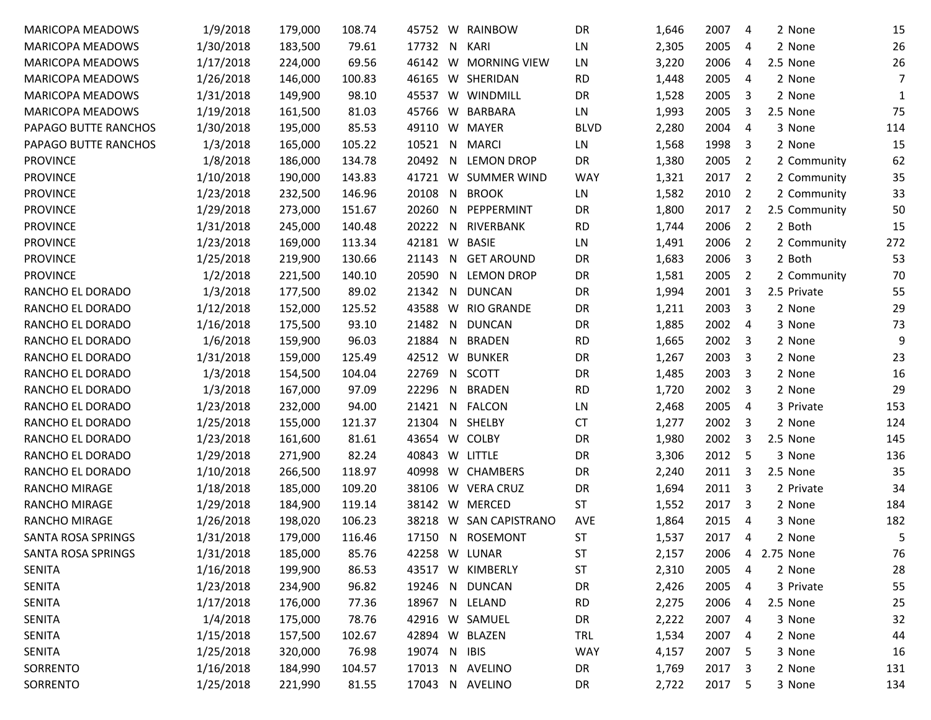| <b>MARICOPA MEADOWS</b>   | 1/9/2018  | 179,000 | 108.74 | 45752 |    | W RAINBOW             | DR          | 1,646 | 2007 | 4              | 2 None        | 15  |
|---------------------------|-----------|---------|--------|-------|----|-----------------------|-------------|-------|------|----------------|---------------|-----|
| <b>MARICOPA MEADOWS</b>   | 1/30/2018 | 183,500 | 79.61  | 17732 | N. | KARI                  | LN          | 2,305 | 2005 | 4              | 2 None        | 26  |
| <b>MARICOPA MEADOWS</b>   | 1/17/2018 | 224,000 | 69.56  | 46142 |    | W MORNING VIEW        | LN          | 3,220 | 2006 | 4              | 2.5 None      | 26  |
| <b>MARICOPA MEADOWS</b>   | 1/26/2018 | 146,000 | 100.83 | 46165 |    | W SHERIDAN            | <b>RD</b>   | 1,448 | 2005 | 4              | 2 None        | 7   |
| <b>MARICOPA MEADOWS</b>   | 1/31/2018 | 149,900 | 98.10  | 45537 | W  | WINDMILL              | DR          | 1,528 | 2005 | 3              | 2 None        | 1   |
| <b>MARICOPA MEADOWS</b>   | 1/19/2018 | 161,500 | 81.03  | 45766 |    | W BARBARA             | LN.         | 1,993 | 2005 | 3              | 2.5 None      | 75  |
| PAPAGO BUTTE RANCHOS      | 1/30/2018 | 195,000 | 85.53  | 49110 |    | W MAYER               | <b>BLVD</b> | 2,280 | 2004 | $\overline{4}$ | 3 None        | 114 |
| PAPAGO BUTTE RANCHOS      | 1/3/2018  | 165,000 | 105.22 | 10521 | N. | <b>MARCI</b>          | LN          | 1,568 | 1998 | 3              | 2 None        | 15  |
| <b>PROVINCE</b>           | 1/8/2018  | 186,000 | 134.78 | 20492 | N. | <b>LEMON DROP</b>     | DR          | 1,380 | 2005 | 2              | 2 Community   | 62  |
| <b>PROVINCE</b>           | 1/10/2018 | 190,000 | 143.83 | 41721 |    | W SUMMER WIND         | <b>WAY</b>  | 1,321 | 2017 | 2              | 2 Community   | 35  |
| <b>PROVINCE</b>           | 1/23/2018 | 232,500 | 146.96 | 20108 | N. | <b>BROOK</b>          | LN.         | 1,582 | 2010 | 2              | 2 Community   | 33  |
| <b>PROVINCE</b>           | 1/29/2018 | 273,000 | 151.67 | 20260 | N. | PEPPERMINT            | DR          | 1,800 | 2017 | 2              | 2.5 Community | 50  |
| <b>PROVINCE</b>           | 1/31/2018 | 245,000 | 140.48 | 20222 | N. | RIVERBANK             | <b>RD</b>   | 1,744 | 2006 | 2              | 2 Both        | 15  |
| <b>PROVINCE</b>           | 1/23/2018 | 169,000 | 113.34 | 42181 | W  | <b>BASIE</b>          | LN          | 1,491 | 2006 | 2              | 2 Community   | 272 |
| <b>PROVINCE</b>           | 1/25/2018 | 219,900 | 130.66 | 21143 | N. | <b>GET AROUND</b>     | DR          | 1,683 | 2006 | 3              | 2 Both        | 53  |
| <b>PROVINCE</b>           | 1/2/2018  | 221,500 | 140.10 | 20590 | N. | <b>LEMON DROP</b>     | DR          | 1,581 | 2005 | 2              | 2 Community   | 70  |
| RANCHO EL DORADO          | 1/3/2018  | 177,500 | 89.02  | 21342 | N. | <b>DUNCAN</b>         | DR          | 1,994 | 2001 | 3              | 2.5 Private   | 55  |
| RANCHO EL DORADO          | 1/12/2018 | 152,000 | 125.52 | 43588 | W  | <b>RIO GRANDE</b>     | DR          | 1,211 | 2003 | 3              | 2 None        | 29  |
| RANCHO EL DORADO          | 1/16/2018 | 175,500 | 93.10  | 21482 | N. | <b>DUNCAN</b>         | DR          | 1,885 | 2002 | 4              | 3 None        | 73  |
| RANCHO EL DORADO          | 1/6/2018  | 159,900 | 96.03  | 21884 | N. | <b>BRADEN</b>         | <b>RD</b>   | 1,665 | 2002 | 3              | 2 None        | 9   |
| RANCHO EL DORADO          | 1/31/2018 | 159,000 | 125.49 | 42512 | W  | <b>BUNKER</b>         | DR          | 1,267 | 2003 | 3              | 2 None        | 23  |
| RANCHO EL DORADO          | 1/3/2018  | 154,500 | 104.04 | 22769 | N. | SCOTT                 | DR          | 1,485 | 2003 | 3              | 2 None        | 16  |
| RANCHO EL DORADO          | 1/3/2018  | 167,000 | 97.09  | 22296 | N. | <b>BRADEN</b>         | <b>RD</b>   | 1,720 | 2002 | 3              | 2 None        | 29  |
| RANCHO EL DORADO          | 1/23/2018 | 232,000 | 94.00  | 21421 | N. | FALCON                | LN          | 2,468 | 2005 | 4              | 3 Private     | 153 |
| RANCHO EL DORADO          | 1/25/2018 | 155,000 | 121.37 | 21304 | N. | SHELBY                | <b>CT</b>   | 1,277 | 2002 | 3              | 2 None        | 124 |
| RANCHO EL DORADO          | 1/23/2018 | 161,600 | 81.61  | 43654 | W. | <b>COLBY</b>          | DR          | 1,980 | 2002 | 3              | 2.5 None      | 145 |
| RANCHO EL DORADO          | 1/29/2018 | 271,900 | 82.24  | 40843 | W  | LITTLE                | DR          | 3,306 | 2012 | 5              | 3 None        | 136 |
| RANCHO EL DORADO          | 1/10/2018 | 266,500 | 118.97 | 40998 |    | W CHAMBERS            | DR          | 2,240 | 2011 | 3              | 2.5 None      | 35  |
| <b>RANCHO MIRAGE</b>      | 1/18/2018 | 185,000 | 109.20 | 38106 | W. | <b>VERA CRUZ</b>      | DR          | 1,694 | 2011 | 3              | 2 Private     | 34  |
| <b>RANCHO MIRAGE</b>      | 1/29/2018 | 184,900 | 119.14 | 38142 |    | W MERCED              | <b>ST</b>   | 1,552 | 2017 | 3              | 2 None        | 184 |
| <b>RANCHO MIRAGE</b>      | 1/26/2018 | 198,020 | 106.23 | 38218 | W  | <b>SAN CAPISTRANO</b> | <b>AVE</b>  | 1,864 | 2015 | $\overline{4}$ | 3 None        | 182 |
| SANTA ROSA SPRINGS        | 1/31/2018 | 179,000 | 116.46 | 17150 | N. | <b>ROSEMONT</b>       | <b>ST</b>   | 1,537 | 2017 | 4              | 2 None        | 5   |
| <b>SANTA ROSA SPRINGS</b> | 1/31/2018 | 185,000 | 85.76  |       |    | 42258 W LUNAR         | ST          | 2,157 | 2006 | 4              | 2.75 None     | 76  |
| <b>SENITA</b>             | 1/16/2018 | 199,900 | 86.53  | 43517 |    | W KIMBERLY            | <b>ST</b>   | 2,310 | 2005 | 4              | 2 None        | 28  |
| <b>SENITA</b>             | 1/23/2018 | 234,900 | 96.82  | 19246 |    | N DUNCAN              | DR          | 2,426 | 2005 | 4              | 3 Private     | 55  |
| <b>SENITA</b>             | 1/17/2018 | 176,000 | 77.36  | 18967 |    | N LELAND              | <b>RD</b>   | 2,275 | 2006 | 4              | 2.5 None      | 25  |
| <b>SENITA</b>             | 1/4/2018  | 175,000 | 78.76  |       |    | 42916 W SAMUEL        | DR          | 2,222 | 2007 | 4              | 3 None        | 32  |
| <b>SENITA</b>             | 1/15/2018 | 157,500 | 102.67 |       |    | 42894 W BLAZEN        | TRL         | 1,534 | 2007 | 4              | 2 None        | 44  |
| <b>SENITA</b>             | 1/25/2018 | 320,000 | 76.98  | 19074 |    | N IBIS                | <b>WAY</b>  | 4,157 | 2007 | -5             | 3 None        | 16  |
| SORRENTO                  | 1/16/2018 | 184,990 | 104.57 | 17013 |    | N AVELINO             | DR          | 1,769 | 2017 | 3              | 2 None        | 131 |
| SORRENTO                  | 1/25/2018 | 221,990 | 81.55  | 17043 |    | N AVELINO             | DR          | 2,722 | 2017 | 5              | 3 None        | 134 |